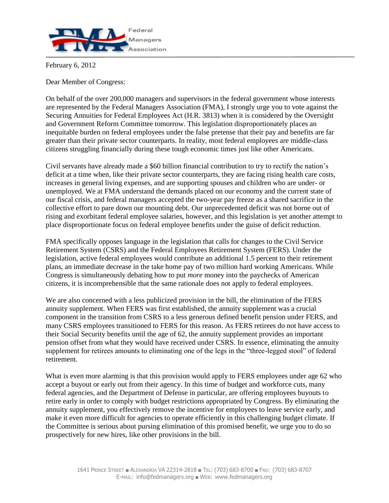

February 6, 2012

Dear Member of Congress:

On behalf of the over 200,000 managers and supervisors in the federal government whose interests are represented by the Federal Managers Association (FMA), I strongly urge you to vote against the Securing Annuities for Federal Employees Act (H.R. 3813) when it is considered by the Oversight and Government Reform Committee tomorrow. This legislation disproportionately places an inequitable burden on federal employees under the false pretense that their pay and benefits are far greater than their private sector counterparts. In reality, most federal employees are middle-class citizens struggling financially during these tough economic times just like other Americans.

Civil servants have already made a \$60 billion financial contribution to try to rectify the nation's deficit at a time when, like their private sector counterparts, they are facing rising health care costs, increases in general living expenses, and are supporting spouses and children who are under- or unemployed. We at FMA understand the demands placed on our economy and the current state of our fiscal crisis, and federal managers accepted the two-year pay freeze as a shared sacrifice in the collective effort to pare down our mounting debt. Our unprecedented deficit was not borne out of rising and exorbitant federal employee salaries, however, and this legislation is yet another attempt to place disproportionate focus on federal employee benefits under the guise of deficit reduction.

FMA specifically opposes language in the legislation that calls for changes to the Civil Service Retirement System (CSRS) and the Federal Employees Retirement System (FERS). Under the legislation, active federal employees would contribute an additional 1.5 percent to their retirement plans, an immediate decrease in the take home pay of two million hard working Americans. While Congress is simultaneously debating how to put *more* money into the paychecks of American citizens, it is incomprehensible that the same rationale does not apply to federal employees.

We are also concerned with a less publicized provision in the bill, the elimination of the FERS annuity supplement. When FERS was first established, the annuity supplement was a crucial component in the transition from CSRS to a less generous defined benefit pension under FERS, and many CSRS employees transitioned to FERS for this reason. As FERS retirees do not have access to their Social Security benefits until the age of 62, the annuity supplement provides an important pension offset from what they would have received under CSRS. In essence, eliminating the annuity supplement for retirees amounts to eliminating one of the legs in the "three-legged stool" of federal retirement.

What is even more alarming is that this provision would apply to FERS employees under age 62 who accept a buyout or early out from their agency. In this time of budget and workforce cuts, many federal agencies, and the Department of Defense in particular, are offering employees buyouts to retire early in order to comply with budget restrictions appropriated by Congress. By eliminating the annuity supplement, you effectively remove the incentive for employees to leave service early, and make it even more difficult for agencies to operate efficiently in this challenging budget climate. If the Committee is serious about pursing elimination of this promised benefit, we urge you to do so prospectively for new hires, like other provisions in the bill.